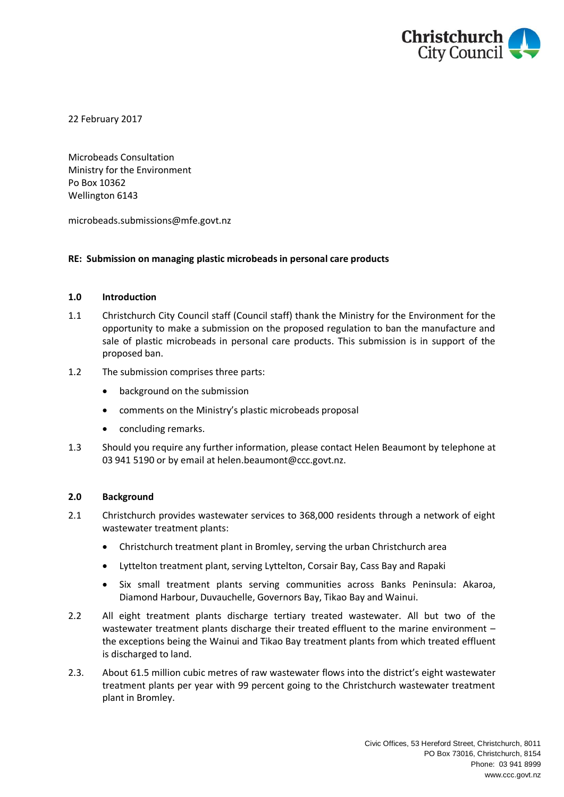

22 February 2017

Microbeads Consultation Ministry for the Environment Po Box 10362 Wellington 6143

microbeads.submissions@mfe.govt.nz

# **RE: Submission on managing plastic microbeads in personal care products**

## **1.0 Introduction**

1.1 Christchurch City Council staff (Council staff) thank the Ministry for the Environment for the opportunity to make a submission on the proposed regulation to ban the manufacture and sale of plastic microbeads in personal care products. This submission is in support of the proposed ban.

## 1.2 The submission comprises three parts:

- background on the submission
- comments on the Ministry's plastic microbeads proposal
- concluding remarks.
- 1.3 Should you require any further information, please contact Helen Beaumont by telephone at 03 941 5190 or by email at helen.beaumont@ccc.govt.nz.

# **2.0 Background**

- 2.1 Christchurch provides wastewater services to 368,000 residents through a network of eight wastewater treatment plants:
	- Christchurch treatment plant in Bromley, serving the urban Christchurch area
	- Lyttelton treatment plant, serving Lyttelton, Corsair Bay, Cass Bay and Rapaki
	- Six small treatment plants serving communities across Banks Peninsula: Akaroa, Diamond Harbour, Duvauchelle, Governors Bay, Tikao Bay and Wainui.
- 2.2 All eight treatment plants discharge tertiary treated wastewater. All but two of the wastewater treatment plants discharge their treated effluent to the marine environment – the exceptions being the Wainui and Tikao Bay treatment plants from which treated effluent is discharged to land.
- 2.3. About 61.5 million cubic metres of raw wastewater flows into the district's eight wastewater treatment plants per year with 99 percent going to the Christchurch wastewater treatment plant in Bromley.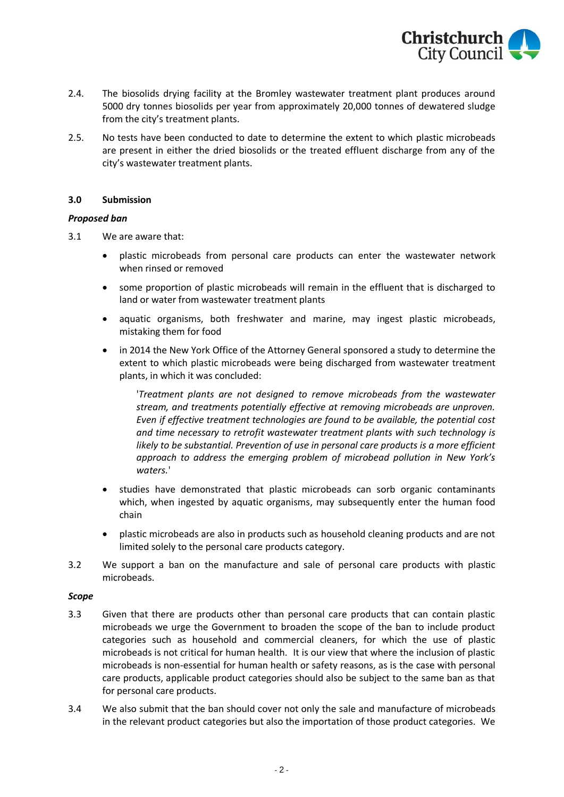

- 2.4. The biosolids drying facility at the Bromley wastewater treatment plant produces around 5000 dry tonnes biosolids per year from approximately 20,000 tonnes of dewatered sludge from the city's treatment plants.
- 2.5. No tests have been conducted to date to determine the extent to which plastic microbeads are present in either the dried biosolids or the treated effluent discharge from any of the city's wastewater treatment plants.

## **3.0 Submission**

## *Proposed ban*

- 3.1 We are aware that:
	- plastic microbeads from personal care products can enter the wastewater network when rinsed or removed
	- some proportion of plastic microbeads will remain in the effluent that is discharged to land or water from wastewater treatment plants
	- aquatic organisms, both freshwater and marine, may ingest plastic microbeads, mistaking them for food
	- in 2014 the New York Office of the Attorney General sponsored a study to determine the extent to which plastic microbeads were being discharged from wastewater treatment plants, in which it was concluded:

'*Treatment plants are not designed to remove microbeads from the wastewater stream, and treatments potentially effective at removing microbeads are unproven. Even if effective treatment technologies are found to be available, the potential cost and time necessary to retrofit wastewater treatment plants with such technology is likely to be substantial. Prevention of use in personal care products is a more efficient approach to address the emerging problem of microbead pollution in New York's waters.*'

- studies have demonstrated that plastic microbeads can sorb organic contaminants which, when ingested by aquatic organisms, may subsequently enter the human food chain
- plastic microbeads are also in products such as household cleaning products and are not limited solely to the personal care products category.
- 3.2 We support a ban on the manufacture and sale of personal care products with plastic microbeads.

#### *Scope*

- 3.3 Given that there are products other than personal care products that can contain plastic microbeads we urge the Government to broaden the scope of the ban to include product categories such as household and commercial cleaners, for which the use of plastic microbeads is not critical for human health. It is our view that where the inclusion of plastic microbeads is non-essential for human health or safety reasons, as is the case with personal care products, applicable product categories should also be subject to the same ban as that for personal care products.
- 3.4 We also submit that the ban should cover not only the sale and manufacture of microbeads in the relevant product categories but also the importation of those product categories. We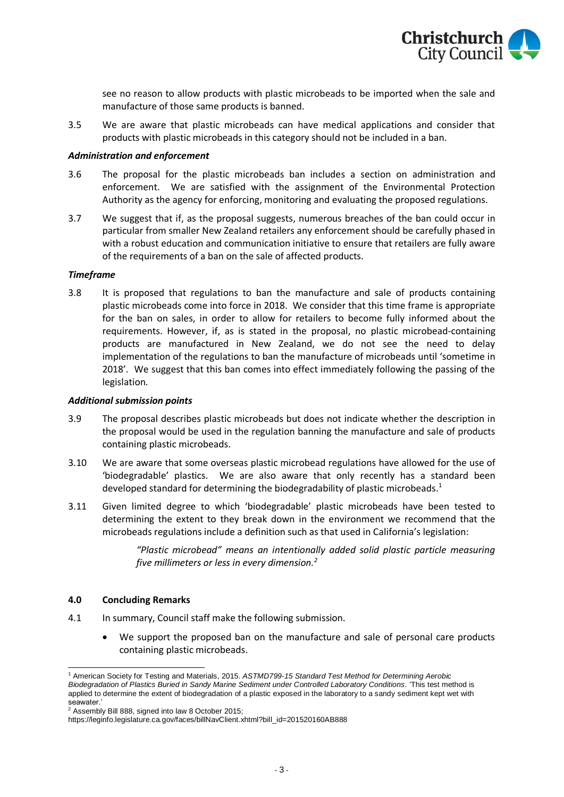

see no reason to allow products with plastic microbeads to be imported when the sale and manufacture of those same products is banned.

3.5 We are aware that plastic microbeads can have medical applications and consider that products with plastic microbeads in this category should not be included in a ban.

### *Administration and enforcement*

- 3.6 The proposal for the plastic microbeads ban includes a section on administration and enforcement. We are satisfied with the assignment of the Environmental Protection Authority as the agency for enforcing, monitoring and evaluating the proposed regulations.
- 3.7 We suggest that if, as the proposal suggests, numerous breaches of the ban could occur in particular from smaller New Zealand retailers any enforcement should be carefully phased in with a robust education and communication initiative to ensure that retailers are fully aware of the requirements of a ban on the sale of affected products.

## *Timeframe*

3.8 It is proposed that regulations to ban the manufacture and sale of products containing plastic microbeads come into force in 2018. We consider that this time frame is appropriate for the ban on sales, in order to allow for retailers to become fully informed about the requirements. However, if, as is stated in the proposal, no plastic microbead-containing products are manufactured in New Zealand, we do not see the need to delay implementation of the regulations to ban the manufacture of microbeads until 'sometime in 2018'. We suggest that this ban comes into effect immediately following the passing of the legislation.

#### *Additional submission points*

- 3.9 The proposal describes plastic microbeads but does not indicate whether the description in the proposal would be used in the regulation banning the manufacture and sale of products containing plastic microbeads.
- 3.10 We are aware that some overseas plastic microbead regulations have allowed for the use of 'biodegradable' plastics. We are also aware that only recently has a standard been developed standard for determining the biodegradability of plastic microbeads.<sup>1</sup>
- 3.11 Given limited degree to which 'biodegradable' plastic microbeads have been tested to determining the extent to they break down in the environment we recommend that the microbeads regulations include a definition such as that used in California's legislation:

*"Plastic microbead" means an intentionally added solid plastic particle measuring five millimeters or less in every dimension.<sup>2</sup>*

#### **4.0 Concluding Remarks**

- 4.1 In summary, Council staff make the following submission.
	- We support the proposed ban on the manufacture and sale of personal care products containing plastic microbeads.

l <sup>1</sup> American Society for Testing and Materials, 2015. *ASTMD799-15 Standard Test Method for Determining Aerobic Biodegradation of Plastics Buried in Sandy Marine Sediment under Controlled Laboratory Conditions.* 'This test method is applied to determine the extent of biodegradation of a plastic exposed in the laboratory to a sandy sediment kept wet with seawater.'

<sup>&</sup>lt;sup>2</sup> Assembly Bill 888, signed into law 8 October 2015;

https://leginfo.legislature.ca.gov/faces/billNavClient.xhtml?bill\_id=201520160AB888